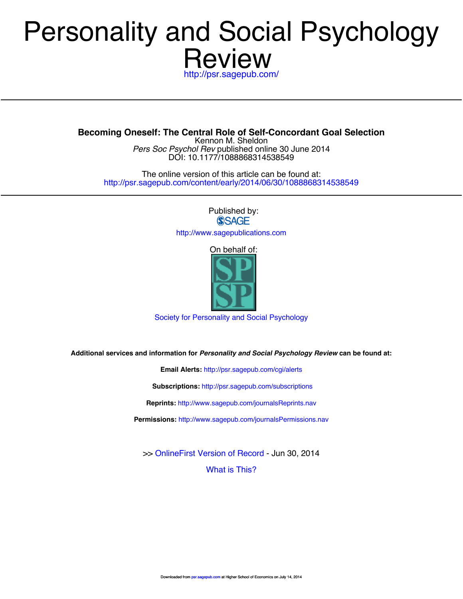# **Review** Personality and Social Psychology

http://psr.sagepub.com/

Kennon M. Sheldon **Becoming Oneself: The Central Role of Self-Concordant Goal Selection**

DOI: 10.1177/1088868314538549 *Pers Soc Psychol Rev* published online 30 June 2014

http://psr.sagepub.com/content/early/2014/06/30/1088868314538549 The online version of this article can be found at:

> Published by:<br>
> SAGE http://www.sagepublications.com

> > On behalf of:



Society for Personality and Social Psychology

**Additional services and information for** *Personality and Social Psychology Review* **can be found at:**

**Email Alerts:** http://psr.sagepub.com/cgi/alerts

**Subscriptions:** http://psr.sagepub.com/subscriptions

**Reprints:** http://www.sagepub.com/journalsReprints.nav

**Permissions:** http://www.sagepub.com/journalsPermissions.nav

>> OnlineFirst Version of Record - Jun 30, 2014

What is This?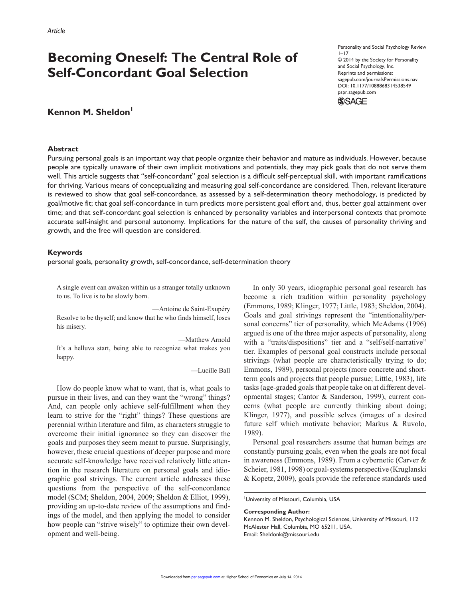## **Becoming Oneself: The Central Role of Self-Concordant Goal Selection**

## **Kennon M. Sheldon**

#### **Abstract**

Personality and Social Psychology Review  $1 - 17$ © 2014 by the Society for Personality and Social Psychology, Inc. Reprints and permissions: sagepub.com/journalsPermissions.nav DOI: 10.1177/1088868314538549 pspr.sagepub.com **SSAGE** 

Pursuing personal goals is an important way that people organize their behavior and mature as individuals. However, because people are typically unaware of their own implicit motivations and potentials, they may pick goals that do not serve them well. This article suggests that "self-concordant" goal selection is a difficult self-perceptual skill, with important ramifications for thriving. Various means of conceptualizing and measuring goal self-concordance are considered. Then, relevant literature is reviewed to show that goal self-concordance, as assessed by a self-determination theory methodology, is predicted by goal/motive fit; that goal self-concordance in turn predicts more persistent goal effort and, thus, better goal attainment over time; and that self-concordant goal selection is enhanced by personality variables and interpersonal contexts that promote accurate self-insight and personal autonomy. Implications for the nature of the self, the causes of personality thriving and growth, and the free will question are considered.

#### **Keywords**

personal goals, personality growth, self-concordance, self-determination theory

A single event can awaken within us a stranger totally unknown to us. To live is to be slowly born.

—Antoine de Saint-Exupéry Resolve to be thyself; and know that he who finds himself, loses his misery.

—Matthew Arnold It's a helluva start, being able to recognize what makes you happy.

—Lucille Ball

How do people know what to want, that is, what goals to pursue in their lives, and can they want the "wrong" things? And, can people only achieve self-fulfillment when they learn to strive for the "right" things? These questions are perennial within literature and film, as characters struggle to overcome their initial ignorance so they can discover the goals and purposes they seem meant to pursue. Surprisingly, however, these crucial questions of deeper purpose and more accurate self-knowledge have received relatively little attention in the research literature on personal goals and idiographic goal strivings. The current article addresses these questions from the perspective of the self-concordance model (SCM; Sheldon, 2004, 2009; Sheldon & Elliot, 1999), providing an up-to-date review of the assumptions and findings of the model, and then applying the model to consider how people can "strive wisely" to optimize their own development and well-being.

In only 30 years, idiographic personal goal research has become a rich tradition within personality psychology (Emmons, 1989; Klinger, 1977; Little, 1983; Sheldon, 2004). Goals and goal strivings represent the "intentionality/personal concerns" tier of personality, which McAdams (1996) argued is one of the three major aspects of personality, along with a "traits/dispositions" tier and a "self/self-narrative" tier. Examples of personal goal constructs include personal strivings (what people are characteristically trying to do; Emmons, 1989), personal projects (more concrete and shortterm goals and projects that people pursue; Little, 1983), life tasks (age-graded goals that people take on at different developmental stages; Cantor & Sanderson, 1999), current concerns (what people are currently thinking about doing; Klinger, 1977), and possible selves (images of a desired future self which motivate behavior; Markus & Ruvolo, 1989).

Personal goal researchers assume that human beings are constantly pursuing goals, even when the goals are not focal in awareness (Emmons, 1989). From a cybernetic (Carver & Scheier, 1981, 1998) or goal-systems perspective (Kruglanski & Kopetz, 2009), goals provide the reference standards used

<sup>1</sup>University of Missouri, Columbia, USA

**Corresponding Author:**

Kennon M. Sheldon, Psychological Sciences, University of Missouri, 112 McAlester Hall, Columbia, MO 65211, USA. Email: Sheldonk@missouri.edu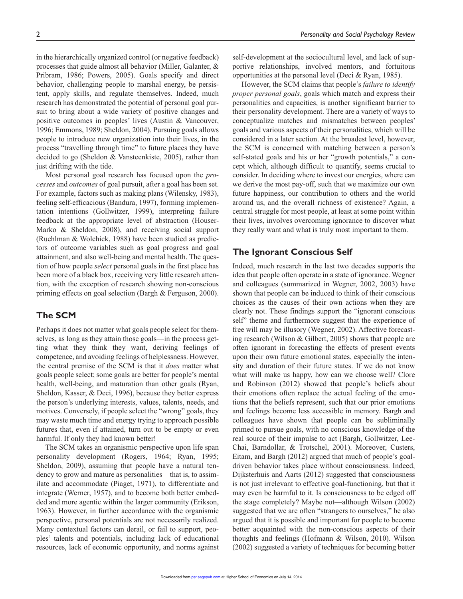Pribram, 1986; Powers, 2005). Goals specify and direct behavior, challenging people to marshal energy, be persistent, apply skills, and regulate themselves. Indeed, much research has demonstrated the potential of personal goal pursuit to bring about a wide variety of positive changes and positive outcomes in peoples' lives (Austin & Vancouver, 1996; Emmons, 1989; Sheldon, 2004). Pursuing goals allows people to introduce new organization into their lives, in the process "travelling through time" to future places they have decided to go (Sheldon & Vansteenkiste, 2005), rather than just drifting with the tide.

Most personal goal research has focused upon the *processes* and *outcomes* of goal pursuit, after a goal has been set. For example, factors such as making plans (Wilensky, 1983), feeling self-efficacious (Bandura, 1997), forming implementation intentions (Gollwitzer, 1999), interpreting failure feedback at the appropriate level of abstraction (Houser-Marko & Sheldon, 2008), and receiving social support (Ruehlman & Wolchick, 1988) have been studied as predictors of outcome variables such as goal progress and goal attainment, and also well-being and mental health. The question of how people *select* personal goals in the first place has been more of a black box, receiving very little research attention, with the exception of research showing non-conscious priming effects on goal selection (Bargh & Ferguson, 2000).

## **The SCM**

Perhaps it does not matter what goals people select for themselves, as long as they attain those goals—in the process getting what they think they want, deriving feelings of competence, and avoiding feelings of helplessness. However, the central premise of the SCM is that it *does* matter what goals people select; some goals are better for people's mental health, well-being, and maturation than other goals (Ryan, Sheldon, Kasser, & Deci, 1996), because they better express the person's underlying interests, values, talents, needs, and motives. Conversely, if people select the "wrong" goals, they may waste much time and energy trying to approach possible futures that, even if attained, turn out to be empty or even harmful. If only they had known better!

The SCM takes an organismic perspective upon life span personality development (Rogers, 1964; Ryan, 1995; Sheldon, 2009), assuming that people have a natural tendency to grow and mature as personalities—that is, to assimilate and accommodate (Piaget, 1971), to differentiate and integrate (Werner, 1957), and to become both better embedded and more agentic within the larger community (Erikson, 1963). However, in further accordance with the organismic perspective, personal potentials are not necessarily realized. Many contextual factors can derail, or fail to support, peoples' talents and potentials, including lack of educational resources, lack of economic opportunity, and norms against

self-development at the sociocultural level, and lack of supportive relationships, involved mentors, and fortuitous opportunities at the personal level (Deci & Ryan, 1985).

However, the SCM claims that people's *failure to identify proper personal goals*, goals which match and express their personalities and capacities, is another significant barrier to their personality development. There are a variety of ways to conceptualize matches and mismatches between peoples' goals and various aspects of their personalities, which will be considered in a later section. At the broadest level, however, the SCM is concerned with matching between a person's self-stated goals and his or her "growth potentials," a concept which, although difficult to quantify, seems crucial to consider. In deciding where to invest our energies, where can we derive the most pay-off, such that we maximize our own future happiness, our contribution to others and the world around us, and the overall richness of existence? Again, a central struggle for most people, at least at some point within their lives, involves overcoming ignorance to discover what they really want and what is truly most important to them.

## **The Ignorant Conscious Self**

Indeed, much research in the last two decades supports the idea that people often operate in a state of ignorance. Wegner and colleagues (summarized in Wegner, 2002, 2003) have shown that people can be induced to think of their conscious choices as the causes of their own actions when they are clearly not. These findings support the "ignorant conscious self" theme and furthermore suggest that the experience of free will may be illusory (Wegner, 2002). Affective forecasting research (Wilson & Gilbert, 2005) shows that people are often ignorant in forecasting the effects of present events upon their own future emotional states, especially the intensity and duration of their future states. If we do not know what will make us happy, how can we choose well? Clore and Robinson (2012) showed that people's beliefs about their emotions often replace the actual feeling of the emotions that the beliefs represent, such that our prior emotions and feelings become less accessible in memory. Bargh and colleagues have shown that people can be subliminally primed to pursue goals, with no conscious knowledge of the real source of their impulse to act (Bargh, Gollwitzer, Lee-Chai, Barndollar, & Trotschel, 2001). Moreover, Custers, Eitam, and Bargh (2012) argued that much of people's goaldriven behavior takes place without consciousness. Indeed, Dijksterhuis and Aarts (2012) suggested that consciousness is not just irrelevant to effective goal-functioning, but that it may even be harmful to it. Is consciousness to be edged off the stage completely? Maybe not—although Wilson (2002) suggested that we are often "strangers to ourselves," he also argued that it is possible and important for people to become better acquainted with the non-conscious aspects of their thoughts and feelings (Hofmann & Wilson, 2010). Wilson (2002) suggested a variety of techniques for becoming better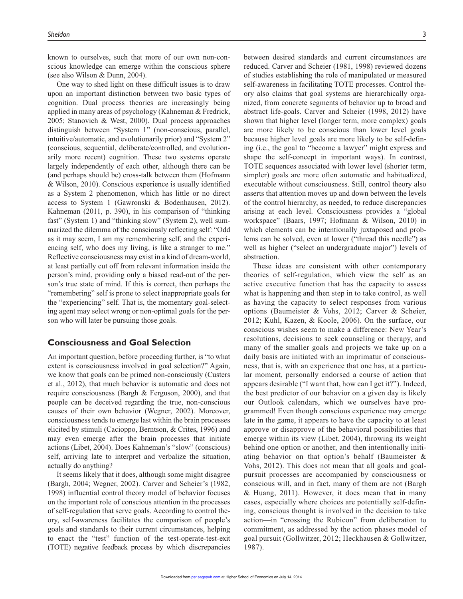known to ourselves, such that more of our own non-conscious knowledge can emerge within the conscious sphere (see also Wilson & Dunn, 2004).

One way to shed light on these difficult issues is to draw upon an important distinction between two basic types of cognition. Dual process theories are increasingly being applied in many areas of psychology (Kahneman & Fredrick, 2005; Stanovich & West, 2000). Dual process approaches distinguish between "System 1" (non-conscious, parallel, intuitive/automatic, and evolutionarily prior) and "System 2" (conscious, sequential, deliberate/controlled, and evolutionarily more recent) cognition. These two systems operate largely independently of each other, although there can be (and perhaps should be) cross-talk between them (Hofmann & Wilson, 2010). Conscious experience is usually identified as a System 2 phenomenon, which has little or no direct access to System 1 (Gawronski & Bodenhausen, 2012). Kahneman (2011, p. 390), in his comparison of "thinking fast" (System 1) and "thinking slow" (System 2), well summarized the dilemma of the consciously reflecting self: "Odd as it may seem, I am my remembering self, and the experiencing self, who does my living, is like a stranger to me." Reflective consciousness may exist in a kind of dream-world, at least partially cut off from relevant information inside the person's mind, providing only a biased read-out of the person's true state of mind. If this is correct, then perhaps the "remembering" self is prone to select inappropriate goals for the "experiencing" self. That is, the momentary goal-selecting agent may select wrong or non-optimal goals for the person who will later be pursuing those goals.

## **Consciousness and Goal Selection**

An important question, before proceeding further, is "to what extent is consciousness involved in goal selection?" Again, we know that goals can be primed non-consciously (Custers et al., 2012), that much behavior is automatic and does not require consciousness (Bargh & Ferguson, 2000), and that people can be deceived regarding the true, non-conscious causes of their own behavior (Wegner, 2002). Moreover, consciousness tends to emerge last within the brain processes elicited by stimuli (Cacioppo, Berntson, & Crites, 1996) and may even emerge after the brain processes that initiate actions (Libet, 2004). Does Kahneman's "slow" (conscious) self, arriving late to interpret and verbalize the situation, actually do anything?

It seems likely that it does, although some might disagree (Bargh, 2004; Wegner, 2002). Carver and Scheier's (1982, 1998) influential control theory model of behavior focuses on the important role of conscious attention in the processes of self-regulation that serve goals. According to control theory, self-awareness facilitates the comparison of people's goals and standards to their current circumstances, helping to enact the "test" function of the test-operate-test-exit (TOTE) negative feedback process by which discrepancies

between desired standards and current circumstances are reduced. Carver and Scheier (1981, 1998) reviewed dozens of studies establishing the role of manipulated or measured self-awareness in facilitating TOTE processes. Control theory also claims that goal systems are hierarchically organized, from concrete segments of behavior up to broad and abstract life-goals. Carver and Scheier (1998, 2012) have shown that higher level (longer term, more complex) goals are more likely to be conscious than lower level goals because higher level goals are more likely to be self-defining (i.e., the goal to "become a lawyer" might express and shape the self-concept in important ways). In contrast, TOTE sequences associated with lower level (shorter term, simpler) goals are more often automatic and habitualized, executable without consciousness. Still, control theory also asserts that attention moves up and down between the levels of the control hierarchy, as needed, to reduce discrepancies arising at each level. Consciousness provides a "global workspace" (Baars, 1997; Hofmann & Wilson, 2010) in which elements can be intentionally juxtaposed and problems can be solved, even at lower ("thread this needle") as well as higher ("select an undergraduate major") levels of abstraction.

These ideas are consistent with other contemporary theories of self-regulation, which view the self as an active executive function that has the capacity to assess what is happening and then step in to take control, as well as having the capacity to select responses from various options (Baumeister & Vohs, 2012; Carver & Scheier, 2012; Kuhl, Kazen, & Koole, 2006). On the surface, our conscious wishes seem to make a difference: New Year's resolutions, decisions to seek counseling or therapy, and many of the smaller goals and projects we take up on a daily basis are initiated with an imprimatur of consciousness, that is, with an experience that one has, at a particular moment, personally endorsed a course of action that appears desirable ("I want that, how can I get it?"). Indeed, the best predictor of our behavior on a given day is likely our Outlook calendars, which we ourselves have programmed! Even though conscious experience may emerge late in the game, it appears to have the capacity to at least approve or disapprove of the behavioral possibilities that emerge within its view (Libet, 2004), throwing its weight behind one option or another, and then intentionally initiating behavior on that option's behalf (Baumeister & Vohs, 2012). This does not mean that all goals and goalpursuit processes are accompanied by consciousness or conscious will, and in fact, many of them are not (Bargh & Huang, 2011). However, it does mean that in many cases, especially where choices are potentially self-defining, conscious thought is involved in the decision to take action—in "crossing the Rubicon" from deliberation to commitment, as addressed by the action phases model of goal pursuit (Gollwitzer, 2012; Heckhausen & Gollwitzer, 1987).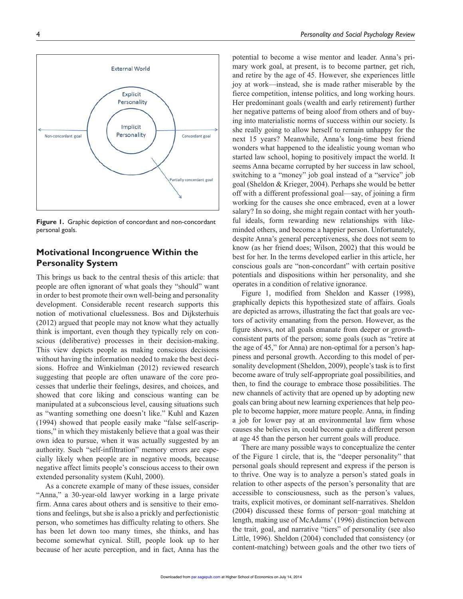

**Figure 1.** Graphic depiction of concordant and non-concordant personal goals.

## **Motivational Incongruence Within the Personality System**

This brings us back to the central thesis of this article: that people are often ignorant of what goals they "should" want in order to best promote their own well-being and personality development. Considerable recent research supports this notion of motivational cluelessness. Bos and Dijksterhuis (2012) argued that people may not know what they actually think is important, even though they typically rely on conscious (deliberative) processes in their decision-making. This view depicts people as making conscious decisions without having the information needed to make the best decisions. Hofree and Winkielman (2012) reviewed research suggesting that people are often unaware of the core processes that underlie their feelings, desires, and choices, and showed that core liking and conscious wanting can be manipulated at a subconscious level, causing situations such as "wanting something one doesn't like." Kuhl and Kazen (1994) showed that people easily make "false self-ascriptions," in which they mistakenly believe that a goal was their own idea to pursue, when it was actually suggested by an authority. Such "self-infiltration" memory errors are especially likely when people are in negative moods, because negative affect limits people's conscious access to their own extended personality system (Kuhl, 2000).

As a concrete example of many of these issues, consider "Anna," a 30-year-old lawyer working in a large private firm. Anna cares about others and is sensitive to their emotions and feelings, but she is also a prickly and perfectionistic person, who sometimes has difficulty relating to others. She has been let down too many times, she thinks, and has become somewhat cynical. Still, people look up to her because of her acute perception, and in fact, Anna has the

potential to become a wise mentor and leader. Anna's primary work goal, at present, is to become partner, get rich, and retire by the age of 45. However, she experiences little joy at work—instead, she is made rather miserable by the fierce competition, intense politics, and long working hours. Her predominant goals (wealth and early retirement) further her negative patterns of being aloof from others and of buying into materialistic norms of success within our society. Is she really going to allow herself to remain unhappy for the next 15 years? Meanwhile, Anna's long-time best friend wonders what happened to the idealistic young woman who started law school, hoping to positively impact the world. It seems Anna became corrupted by her success in law school, switching to a "money" job goal instead of a "service" job goal (Sheldon & Krieger, 2004). Perhaps she would be better off with a different professional goal—say, of joining a firm working for the causes she once embraced, even at a lower salary? In so doing, she might regain contact with her youthful ideals, form rewarding new relationships with likeminded others, and become a happier person. Unfortunately, despite Anna's general perceptiveness, she does not seem to know (as her friend does; Wilson, 2002) that this would be best for her. In the terms developed earlier in this article, her conscious goals are "non-concordant" with certain positive potentials and dispositions within her personality, and she operates in a condition of relative ignorance.

Figure 1, modified from Sheldon and Kasser (1998), graphically depicts this hypothesized state of affairs. Goals are depicted as arrows, illustrating the fact that goals are vectors of activity emanating from the person. However, as the figure shows, not all goals emanate from deeper or growthconsistent parts of the person; some goals (such as "retire at the age of 45," for Anna) are non-optimal for a person's happiness and personal growth. According to this model of personality development (Sheldon, 2009), people's task is to first become aware of truly self-appropriate goal possibilities, and then, to find the courage to embrace those possibilities. The new channels of activity that are opened up by adopting new goals can bring about new learning experiences that help people to become happier, more mature people. Anna, in finding a job for lower pay at an environmental law firm whose causes she believes in, could become quite a different person at age 45 than the person her current goals will produce.

There are many possible ways to conceptualize the center of the Figure 1 circle, that is, the "deeper personality" that personal goals should represent and express if the person is to thrive. One way is to analyze a person's stated goals in relation to other aspects of the person's personality that are accessible to consciousness, such as the person's values, traits, explicit motives, or dominant self-narratives. Sheldon (2004) discussed these forms of person−goal matching at length, making use of McAdams' (1996) distinction between the trait, goal, and narrative "tiers" of personality (see also Little, 1996). Sheldon (2004) concluded that consistency (or content-matching) between goals and the other two tiers of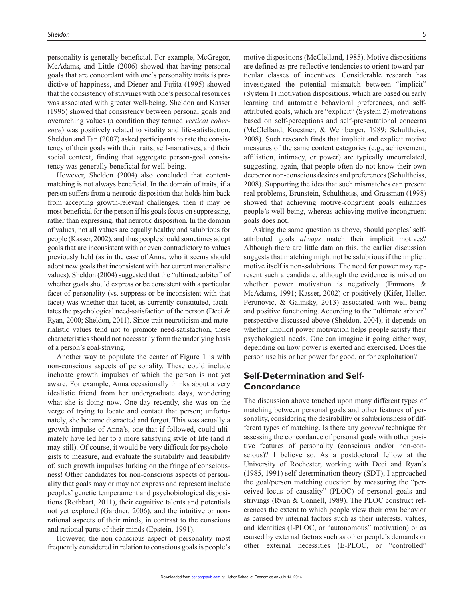personality is generally beneficial. For example, McGregor, McAdams, and Little (2006) showed that having personal goals that are concordant with one's personality traits is predictive of happiness, and Diener and Fujita (1995) showed that the consistency of strivings with one's personal resources was associated with greater well-being. Sheldon and Kasser (1995) showed that consistency between personal goals and overarching values (a condition they termed *vertical coherence*) was positively related to vitality and life-satisfaction. Sheldon and Tan (2007) asked participants to rate the consistency of their goals with their traits, self-narratives, and their social context, finding that aggregate person-goal consistency was generally beneficial for well-being.

However, Sheldon (2004) also concluded that contentmatching is not always beneficial. In the domain of traits, if a person suffers from a neurotic disposition that holds him back from accepting growth-relevant challenges, then it may be most beneficial for the person if his goals focus on suppressing, rather than expressing, that neurotic disposition. In the domain of values, not all values are equally healthy and salubrious for people (Kasser, 2002), and thus people should sometimes adopt goals that are inconsistent with or even contradictory to values previously held (as in the case of Anna, who it seems should adopt new goals that inconsistent with her current materialistic values). Sheldon (2004) suggested that the "ultimate arbiter" of whether goals should express or be consistent with a particular facet of personality (vs. suppress or be inconsistent with that facet) was whether that facet, as currently constituted, facilitates the psychological need-satisfaction of the person (Deci & Ryan, 2000; Sheldon, 2011). Since trait neuroticism and materialistic values tend not to promote need-satisfaction, these characteristics should not necessarily form the underlying basis of a person's goal-striving.

Another way to populate the center of Figure 1 is with non-conscious aspects of personality. These could include inchoate growth impulses of which the person is not yet aware. For example, Anna occasionally thinks about a very idealistic friend from her undergraduate days, wondering what she is doing now. One day recently, she was on the verge of trying to locate and contact that person; unfortunately, she became distracted and forgot. This was actually a growth impulse of Anna's, one that if followed, could ultimately have led her to a more satisfying style of life (and it may still). Of course, it would be very difficult for psychologists to measure, and evaluate the suitability and feasibility of, such growth impulses lurking on the fringe of consciousness! Other candidates for non-conscious aspects of personality that goals may or may not express and represent include peoples' genetic temperament and psychobiological dispositions (Rothbart, 2011), their cognitive talents and potentials not yet explored (Gardner, 2006), and the intuitive or nonrational aspects of their minds, in contrast to the conscious and rational parts of their minds (Epstein, 1991).

However, the non-conscious aspect of personality most frequently considered in relation to conscious goals is people's

motive dispositions (McClelland, 1985). Motive dispositions are defined as pre-reflective tendencies to orient toward particular classes of incentives. Considerable research has investigated the potential mismatch between "implicit" (System 1) motivation dispositions, which are based on early learning and automatic behavioral preferences, and selfattributed goals, which are "explicit" (System 2) motivations based on self-perceptions and self-presentational concerns (McClelland, Koestner, & Weinberger, 1989; Schultheiss, 2008). Such research finds that implicit and explicit motive measures of the same content categories (e.g., achievement, affiliation, intimacy, or power) are typically uncorrelated, suggesting, again, that people often do not know their own deeper or non-conscious desires and preferences (Schultheiss, 2008). Supporting the idea that such mismatches can present real problems, Brunstein, Schultheiss, and Grassman (1998) showed that achieving motive-congruent goals enhances people's well-being, whereas achieving motive-incongruent goals does not.

Asking the same question as above, should peoples' selfattributed goals *always* match their implicit motives? Although there are little data on this, the earlier discussion suggests that matching might not be salubrious if the implicit motive itself is non-salubrious. The need for power may represent such a candidate, although the evidence is mixed on whether power motivation is negatively (Emmons & McAdams, 1991; Kasser, 2002) or positively (Kifer, Heller, Perunovic, & Galinsky, 2013) associated with well-being and positive functioning. According to the "ultimate arbiter" perspective discussed above (Sheldon, 2004), it depends on whether implicit power motivation helps people satisfy their psychological needs. One can imagine it going either way, depending on how power is exerted and exercised. Does the person use his or her power for good, or for exploitation?

## **Self-Determination and Self-Concordance**

The discussion above touched upon many different types of matching between personal goals and other features of personality, considering the desirability or salubriousness of different types of matching. Is there any *general* technique for assessing the concordance of personal goals with other positive features of personality (conscious and/or non-conscious)? I believe so. As a postdoctoral fellow at the University of Rochester, working with Deci and Ryan's (1985, 1991) self-determination theory (SDT), I approached the goal/person matching question by measuring the "perceived locus of causality" (PLOC) of personal goals and strivings (Ryan & Connell, 1989). The PLOC construct references the extent to which people view their own behavior as caused by internal factors such as their interests, values, and identities (I-PLOC, or "autonomous" motivation) or as caused by external factors such as other people's demands or other external necessities (E-PLOC, or "controlled"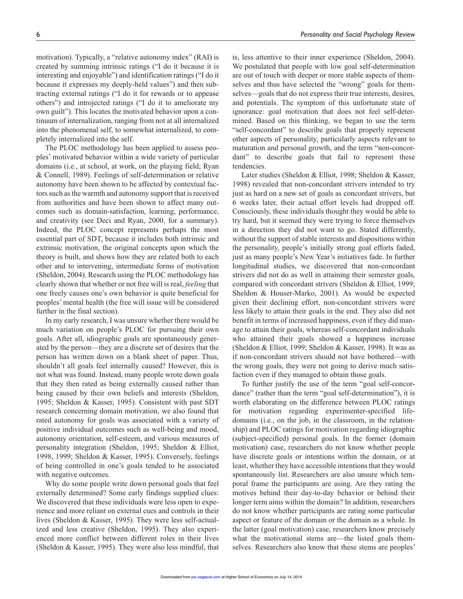motivation). Typically, a "relative autonomy index" (RAI) is created by summing intrinsic ratings ("I do it because it is interesting and enjoyable") and identification ratings ("I do it because it expresses my deeply-held values") and then subtracting external ratings ("I do it for rewards or to appease others") and introjected ratings ("I do it to ameliorate my own guilt"). This locates the motivated behavior upon a continuum of internalization, ranging from not at all internalized into the phenomenal self, to somewhat internalized, to completely internalized into the self.

The PLOC methodology has been applied to assess peoples' motivated behavior within a wide variety of particular domains (i.e., at school, at work, on the playing field; Ryan & Connell, 1989). Feelings of self-determination or relative autonomy have been shown to be affected by contextual factors such as the warmth and autonomy support that is received from authorities and have been shown to affect many outcomes such as domain-satisfaction, learning, performance, and creativity (see Deci and Ryan, 2000, for a summary). Indeed, the PLOC concept represents perhaps the most essential part of SDT, because it includes both intrinsic and extrinsic motivation, the original concepts upon which the theory is built, and shows how they are related both to each other and to intervening, intermediate forms of motivation (Sheldon, 2004). Research using the PLOC methodology has clearly shown that whether or not free will is real, *feeling* that one freely causes one's own behavior is quite beneficial for peoples' mental health (the free will issue will be considered further in the final section).

In my early research, I was unsure whether there would be much variation on people's PLOC for pursuing their own goals. After all, idiographic goals are spontaneously generated by the person—they are a discrete set of desires that the person has written down on a blank sheet of paper. Thus, shouldn't all goals feel internally caused? However, this is not what was found. Instead, many people wrote down goals that they then rated as being externally caused rather than being caused by their own beliefs and interests (Sheldon, 1995; Sheldon & Kasser, 1995). Consistent with past SDT research concerning domain motivation, we also found that rated autonomy for goals was associated with a variety of positive individual outcomes such as well-being and mood, autonomy orientation, self-esteem, and various measures of personality integration (Sheldon, 1995; Sheldon & Elliot, 1998, 1999; Sheldon & Kasser, 1995). Conversely, feelings of being controlled in one's goals tended to be associated with negative outcomes.

Why do some people write down personal goals that feel externally determined? Some early findings supplied clues: We discovered that these individuals were less open to experience and more reliant on external cues and controls in their lives (Sheldon & Kasser, 1995). They were less self-actualized and less creative (Sheldon, 1995). They also experienced more conflict between different roles in their lives (Sheldon & Kasser, 1995). They were also less mindful, that

is, less attentive to their inner experience (Sheldon, 2004). We postulated that people with low goal self-determination are out of touch with deeper or more stable aspects of themselves and thus have selected the "wrong" goals for themselves—goals that do not express their true interests, desires, and potentials. The symptom of this unfortunate state of ignorance: goal motivation that does not feel self-determined. Based on this thinking, we began to use the term "self-concordant" to describe goals that properly represent other aspects of personality, particularly aspects relevant to maturation and personal growth, and the term "non-concordant" to describe goals that fail to represent these tendencies.

Later studies (Sheldon & Elliot, 1998; Sheldon & Kasser, 1998) revealed that non-concordant strivers intended to try just as hard on a new set of goals as concordant strivers, but 6 weeks later, their actual effort levels had dropped off. Consciously, these individuals thought they would be able to try hard, but it seemed they were trying to force themselves in a direction they did not want to go. Stated differently, without the support of stable interests and dispositions within the personality, people's initially strong goal efforts faded, just as many people's New Year's initiatives fade. In further longitudinal studies, we discovered that non-concordant strivers did not do as well in attaining their semester goals, compared with concordant strivers (Sheldon & Elliot, 1999; Sheldon & Houser-Marko, 2001). As would be expected given their declining effort, non-concordant strivers were less likely to attain their goals in the end. They also did not benefit in terms of increased happiness, even if they did manage to attain their goals, whereas self-concordant individuals who attained their goals showed a happiness increase (Sheldon & Elliot, 1999; Sheldon & Kasser, 1998). It was as if non-concordant strivers should not have bothered—with the wrong goals, they were not going to derive much satisfaction even if they managed to obtain those goals.

To further justify the use of the term "goal self-concordance" (rather than the term "goal self-determination"), it is worth elaborating on the difference between PLOC ratings for motivation regarding experimenter-specified lifedomains (i.e., on the job, in the classroom, in the relationship) and PLOC ratings for motivation regarding idiographic (subject-specified) personal goals. In the former (domain motivation) case, researchers do not know whether people have discrete goals or intentions within the domain, or at least, whether they have accessible intentions that they would spontaneously list. Researchers are also unsure which temporal frame the participants are using. Are they rating the motives behind their day-to-day behavior or behind their longer term aims within the domain? In addition, researchers do not know whether participants are rating some particular aspect or feature of the domain or the domain as a whole. In the latter (goal motivation) case, researchers know precisely what the motivational stems are—the listed goals themselves. Researchers also know that these stems are peoples'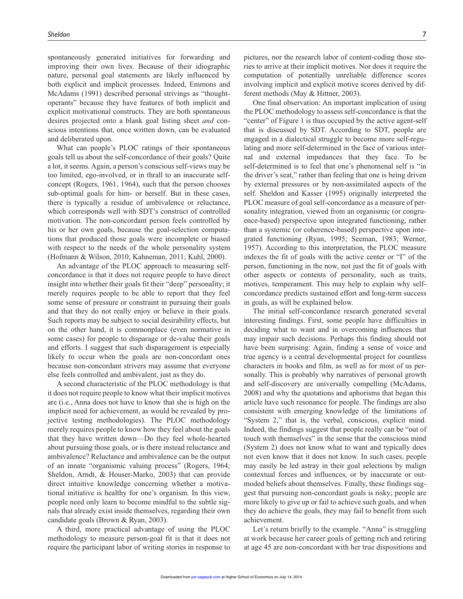spontaneously generated initiatives for forwarding and improving their own lives. Because of their idiographic nature, personal goal statements are likely influenced by both explicit and implicit processes. Indeed, Emmons and McAdams (1991) described personal strivings as "thoughtoperants" because they have features of both implicit and explicit motivational constructs. They are both spontaneous desires projected onto a blank goal listing sheet *and* conscious intentions that, once written down, can be evaluated and deliberated upon.

What can people's PLOC ratings of their spontaneous goals tell us about the self-concordance of their goals? Quite a lot, it seems. Again, a person's conscious self-views may be too limited, ego-involved, or in thrall to an inaccurate selfconcept (Rogers, 1961, 1964), such that the person chooses sub-optimal goals for him- or herself. But in these cases, there is typically a residue of ambivalence or reluctance, which corresponds well with SDT's construct of controlled motivation. The non-concordant person feels controlled by his or her own goals, because the goal-selection computations that produced those goals were incomplete or biased with respect to the needs of the whole personality system (Hofmann & Wilson, 2010; Kahneman, 2011; Kuhl, 2000).

An advantage of the PLOC approach to measuring selfconcordance is that it does not require people to have direct insight into whether their goals fit their "deep" personality; it merely requires people to be able to report that they feel some sense of pressure or constraint in pursuing their goals and that they do not really enjoy or believe in their goals. Such reports may be subject to social desirability effects, but on the other hand, it is commonplace (even normative in some cases) for people to disparage or de-value their goals and efforts. I suggest that such disparagement is especially likely to occur when the goals are non-concordant ones because non-concordant strivers may assume that everyone else feels controlled and ambivalent, just as they do.

A second characteristic of the PLOC methodology is that it does not require people to know what their implicit motives are (i.e., Anna does not have to know that she is high on the implicit need for achievement, as would be revealed by projective testing methodologies). The PLOC methodology merely requires people to know how they feel about the goals that they have written down—Do they feel whole-hearted about pursuing those goals, or is there instead reluctance and ambivalence? Reluctance and ambivalence can be the output of an innate "organismic valuing process" (Rogers, 1964; Sheldon, Arndt, & Houser-Marko, 2003) that can provide direct intuitive knowledge concerning whether a motivational initiative is healthy for one's organism. In this view, people need only learn to become mindful to the subtle signals that already exist inside themselves, regarding their own candidate goals (Brown & Ryan, 2003).

A third, more practical advantage of using the PLOC methodology to measure person-goal fit is that it does not require the participant labor of writing stories in response to

pictures, nor the research labor of content-coding those stories to arrive at their implicit motives. Nor does it require the computation of potentially unreliable difference scores involving implicit and explicit motive scores derived by different methods (May & Hittner, 2003).

One final observation: An important implication of using the PLOC methodology to assess self-concordance is that the "center" of Figure 1 is thus occupied by the active agent-self that is discussed by SDT. According to SDT, people are engaged in a dialectical struggle to become more self-regulating and more self-determined in the face of various internal and external impedances that they face. To be self-determined is to feel that one's phenomenal self is "in the driver's seat," rather than feeling that one is being driven by external pressures or by non-assimilated aspects of the self. Sheldon and Kasser (1995) originally interpreted the PLOC measure of goal self-concordance as a measure of personality integration, viewed from an organismic (or congruence-based) perspective upon integrated functioning, rather than a systemic (or coherence-based) perspective upon integrated functioning (Ryan, 1995; Seeman, 1983; Werner, 1957). According to this interpretation, the PLOC measure indexes the fit of goals with the active center or "I" of the person, functioning in the now, not just the fit of goals with other aspects or contents of personality, such as traits, motives, temperament. This may help to explain why selfconcordance predicts sustained effort and long-term success in goals, as will be explained below.

The initial self-concordance research generated several interesting findings. First, some people have difficulties in deciding what to want and in overcoming influences that may impair such decisions. Perhaps this finding should not have been surprising: Again, finding a sense of voice and true agency is a central developmental project for countless characters in books and film, as well as for most of us personally. This is probably why narratives of personal growth and self-discovery are universally compelling (McAdams, 2008) and why the quotations and aphorisms that began this article have such resonance for people. The findings are also consistent with emerging knowledge of the limitations of "System 2," that is, the verbal, conscious, explicit mind. Indeed, the findings suggest that people really can be "out of touch with themselves" in the sense that the conscious mind (System 2) does not know what to want and typically does not even know that it does not know. In such cases, people may easily be led astray in their goal selections by malign contextual forces and influences, or by inaccurate or outmoded beliefs about themselves. Finally, these findings suggest that pursuing non-concordant goals is risky; people are more likely to give up or fail to achieve such goals, and when they do achieve the goals, they may fail to benefit from such achievement.

Let's return briefly to the example. "Anna" is struggling at work because her career goals of getting rich and retiring at age 45 are non-concordant with her true dispositions and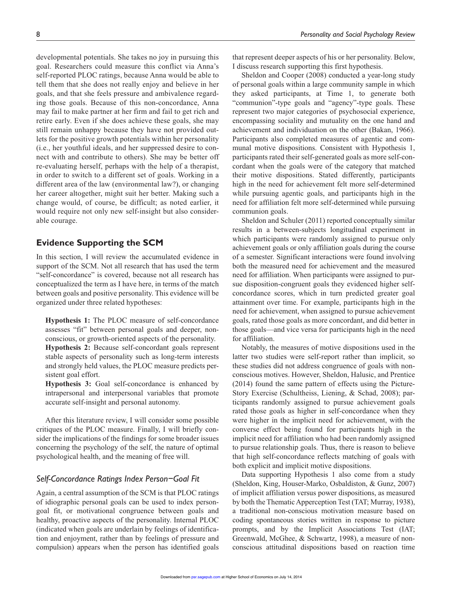developmental potentials. She takes no joy in pursuing this goal. Researchers could measure this conflict via Anna's self-reported PLOC ratings, because Anna would be able to tell them that she does not really enjoy and believe in her goals, and that she feels pressure and ambivalence regarding those goals. Because of this non-concordance, Anna may fail to make partner at her firm and fail to get rich and retire early. Even if she does achieve these goals, she may still remain unhappy because they have not provided outlets for the positive growth potentials within her personality (i.e., her youthful ideals, and her suppressed desire to connect with and contribute to others). She may be better off re-evaluating herself, perhaps with the help of a therapist, in order to switch to a different set of goals. Working in a different area of the law (environmental law?), or changing her career altogether, might suit her better. Making such a change would, of course, be difficult; as noted earlier, it would require not only new self-insight but also considerable courage.

## **Evidence Supporting the SCM**

In this section, I will review the accumulated evidence in support of the SCM. Not all research that has used the term "self-concordance" is covered, because not all research has conceptualized the term as I have here, in terms of the match between goals and positive personality. This evidence will be organized under three related hypotheses:

**Hypothesis 1:** The PLOC measure of self-concordance assesses "fit" between personal goals and deeper, nonconscious, or growth-oriented aspects of the personality.

**Hypothesis 2:** Because self-concordant goals represent stable aspects of personality such as long-term interests and strongly held values, the PLOC measure predicts persistent goal effort.

**Hypothesis 3:** Goal self-concordance is enhanced by intrapersonal and interpersonal variables that promote accurate self-insight and personal autonomy.

After this literature review, I will consider some possible critiques of the PLOC measure. Finally, I will briefly consider the implications of the findings for some broader issues concerning the psychology of the self, the nature of optimal psychological health, and the meaning of free will.

#### *Self-Concordance Ratings Index Person−Goal Fit*

Again, a central assumption of the SCM is that PLOC ratings of idiographic personal goals can be used to index persongoal fit, or motivational congruence between goals and healthy, proactive aspects of the personality. Internal PLOC (indicated when goals are underlain by feelings of identification and enjoyment, rather than by feelings of pressure and compulsion) appears when the person has identified goals

that represent deeper aspects of his or her personality. Below, I discuss research supporting this first hypothesis.

Sheldon and Cooper (2008) conducted a year-long study of personal goals within a large community sample in which they asked participants, at Time 1, to generate both "communion"-type goals and "agency"-type goals. These represent two major categories of psychosocial experience, encompassing sociality and mutuality on the one hand and achievement and individuation on the other (Bakan, 1966). Participants also completed measures of agentic and communal motive dispositions. Consistent with Hypothesis 1, participants rated their self-generated goals as more self-concordant when the goals were of the category that matched their motive dispositions. Stated differently, participants high in the need for achievement felt more self-determined while pursuing agentic goals, and participants high in the need for affiliation felt more self-determined while pursuing communion goals.

Sheldon and Schuler (2011) reported conceptually similar results in a between-subjects longitudinal experiment in which participants were randomly assigned to pursue only achievement goals or only affiliation goals during the course of a semester. Significant interactions were found involving both the measured need for achievement and the measured need for affiliation. When participants were assigned to pursue disposition-congruent goals they evidenced higher selfconcordance scores, which in turn predicted greater goal attainment over time. For example, participants high in the need for achievement, when assigned to pursue achievement goals, rated those goals as more concordant, and did better in those goals—and vice versa for participants high in the need for affiliation.

Notably, the measures of motive dispositions used in the latter two studies were self-report rather than implicit, so these studies did not address congruence of goals with nonconscious motives. However, Sheldon, Halusic, and Prentice (2014) found the same pattern of effects using the Picture-Story Exercise (Schultheiss, Liening, & Schad, 2008); participants randomly assigned to pursue achievement goals rated those goals as higher in self-concordance when they were higher in the implicit need for achievement, with the converse effect being found for participants high in the implicit need for affiliation who had been randomly assigned to pursue relationship goals. Thus, there is reason to believe that high self-concordance reflects matching of goals with both explicit and implicit motive dispositions.

Data supporting Hypothesis 1 also come from a study (Sheldon, King, Houser-Marko, Osbaldiston, & Gunz, 2007) of implicit affiliation versus power dispositions, as measured by both the Thematic Apperception Test (TAT; Murray, 1938), a traditional non-conscious motivation measure based on coding spontaneous stories written in response to picture prompts, and by the Implicit Associations Test (IAT; Greenwald, McGhee, & Schwartz, 1998), a measure of nonconscious attitudinal dispositions based on reaction time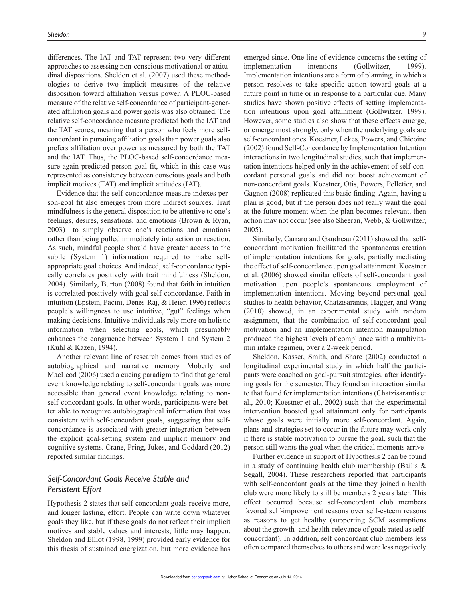differences. The IAT and TAT represent two very different approaches to assessing non-conscious motivational or attitudinal dispositions. Sheldon et al. (2007) used these methodologies to derive two implicit measures of the relative disposition toward affiliation versus power. A PLOC-based measure of the relative self-concordance of participant-generated affiliation goals and power goals was also obtained. The relative self-concordance measure predicted both the IAT and the TAT scores, meaning that a person who feels more selfconcordant in pursuing affiliation goals than power goals also prefers affiliation over power as measured by both the TAT and the IAT. Thus, the PLOC-based self-concordance measure again predicted person-goal fit, which in this case was represented as consistency between conscious goals and both implicit motives (TAT) and implicit attitudes (IAT).

Evidence that the self-concordance measure indexes person-goal fit also emerges from more indirect sources. Trait mindfulness is the general disposition to be attentive to one's feelings, desires, sensations, and emotions (Brown & Ryan, 2003)—to simply observe one's reactions and emotions rather than being pulled immediately into action or reaction. As such, mindful people should have greater access to the subtle (System 1) information required to make selfappropriate goal choices. And indeed, self-concordance typically correlates positively with trait mindfulness (Sheldon, 2004). Similarly, Burton (2008) found that faith in intuition is correlated positively with goal self-concordance. Faith in intuition (Epstein, Pacini, Denes-Raj, & Heier, 1996) reflects people's willingness to use intuitive, "gut" feelings when making decisions. Intuitive individuals rely more on holistic information when selecting goals, which presumably enhances the congruence between System 1 and System 2 (Kuhl & Kazen, 1994).

Another relevant line of research comes from studies of autobiographical and narrative memory. Moberly and MacLeod (2006) used a cueing paradigm to find that general event knowledge relating to self-concordant goals was more accessible than general event knowledge relating to nonself-concordant goals. In other words, participants were better able to recognize autobiographical information that was consistent with self-concordant goals, suggesting that selfconcordance is associated with greater integration between the explicit goal-setting system and implicit memory and cognitive systems. Crane, Pring, Jukes, and Goddard (2012) reported similar findings.

## *Self-Concordant Goals Receive Stable and Persistent Effort*

Hypothesis 2 states that self-concordant goals receive more, and longer lasting, effort. People can write down whatever goals they like, but if these goals do not reflect their implicit motives and stable values and interests, little may happen. Sheldon and Elliot (1998, 1999) provided early evidence for this thesis of sustained energization, but more evidence has

emerged since. One line of evidence concerns the setting of implementation intentions (Gollwitzer, 1999). Implementation intentions are a form of planning, in which a person resolves to take specific action toward goals at a future point in time or in response to a particular cue. Many studies have shown positive effects of setting implementation intentions upon goal attainment (Gollwitzer, 1999). However, some studies also show that these effects emerge, or emerge most strongly, only when the underlying goals are self-concordant ones. Koestner, Lekes, Powers, and Chicoine (2002) found Self-Concordance by Implementation Intention interactions in two longitudinal studies, such that implementation intentions helped only in the achievement of self-concordant personal goals and did not boost achievement of non-concordant goals. Koestner, Otis, Powers, Pelletier, and Gagnon (2008) replicated this basic finding. Again, having a plan is good, but if the person does not really want the goal at the future moment when the plan becomes relevant, then action may not occur (see also Sheeran, Webb, & Gollwitzer, 2005).

Similarly, Carraro and Gaudreau (2011) showed that selfconcordant motivation facilitated the spontaneous creation of implementation intentions for goals, partially mediating the effect of self-concordance upon goal attainment. Koestner et al. (2006) showed similar effects of self-concordant goal motivation upon people's spontaneous employment of implementation intentions. Moving beyond personal goal studies to health behavior, Chatzisarantis, Hagger, and Wang (2010) showed, in an experimental study with random assignment, that the combination of self-concordant goal motivation and an implementation intention manipulation produced the highest levels of compliance with a multivitamin intake regimen, over a 2-week period.

Sheldon, Kasser, Smith, and Share (2002) conducted a longitudinal experimental study in which half the participants were coached on goal-pursuit strategies, after identifying goals for the semester. They found an interaction similar to that found for implementation intentions (Chatzisarantis et al., 2010; Koestner et al., 2002) such that the experimental intervention boosted goal attainment only for participants whose goals were initially more self-concordant. Again, plans and strategies set to occur in the future may work only if there is stable motivation to pursue the goal, such that the person still wants the goal when the critical moments arrive.

Further evidence in support of Hypothesis 2 can be found in a study of continuing health club membership (Bailis & Segall, 2004). These researchers reported that participants with self-concordant goals at the time they joined a health club were more likely to still be members 2 years later. This effect occurred because self-concordant club members favored self-improvement reasons over self-esteem reasons as reasons to get healthy (supporting SCM assumptions about the growth- and health-relevance of goals rated as selfconcordant). In addition, self-concordant club members less often compared themselves to others and were less negatively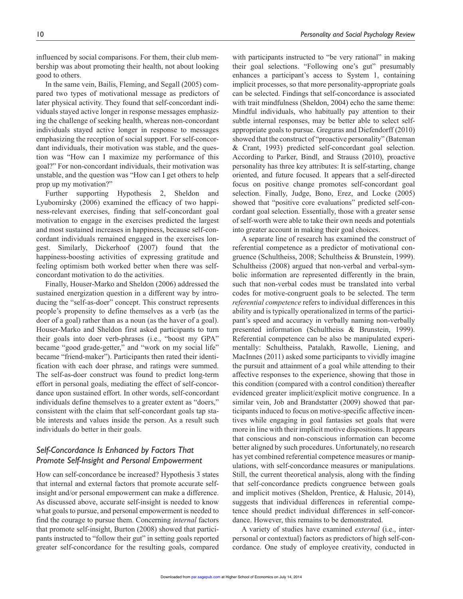influenced by social comparisons. For them, their club membership was about promoting their health, not about looking good to others.

In the same vein, Bailis, Fleming, and Segall (2005) compared two types of motivational message as predictors of later physical activity. They found that self-concordant individuals stayed active longer in response messages emphasizing the challenge of seeking health, whereas non-concordant individuals stayed active longer in response to messages emphasizing the reception of social support. For self-concordant individuals, their motivation was stable, and the question was "How can I maximize my performance of this goal?" For non-concordant individuals, their motivation was unstable, and the question was "How can I get others to help prop up my motivation?"

Further supporting Hypothesis 2, Sheldon and Lyubomirsky (2006) examined the efficacy of two happiness-relevant exercises, finding that self-concordant goal motivation to engage in the exercises predicted the largest and most sustained increases in happiness, because self-concordant individuals remained engaged in the exercises longest. Similarly, Dickerhoof (2007) found that the happiness-boosting activities of expressing gratitude and feeling optimism both worked better when there was selfconcordant motivation to do the activities.

Finally, Houser-Marko and Sheldon (2006) addressed the sustained energization question in a different way by introducing the "self-as-doer" concept. This construct represents people's propensity to define themselves as a verb (as the doer of a goal) rather than as a noun (as the haver of a goal). Houser-Marko and Sheldon first asked participants to turn their goals into doer verb-phrases (i.e., "boost my GPA" became "good grade-getter," and "work on my social life" became "friend-maker"). Participants then rated their identification with each doer phrase, and ratings were summed. The self-as-doer construct was found to predict long-term effort in personal goals, mediating the effect of self-concordance upon sustained effort. In other words, self-concordant individuals define themselves to a greater extent as "doers," consistent with the claim that self-concordant goals tap stable interests and values inside the person. As a result such individuals do better in their goals.

## *Self-Concordance Is Enhanced by Factors That Promote Self-Insight and Personal Empowerment*

How can self-concordance be increased? Hypothesis 3 states that internal and external factors that promote accurate selfinsight and/or personal empowerment can make a difference. As discussed above, accurate self-insight is needed to know what goals to pursue, and personal empowerment is needed to find the courage to pursue them. Concerning *internal* factors that promote self-insight, Burton (2008) showed that participants instructed to "follow their gut" in setting goals reported greater self-concordance for the resulting goals, compared

with participants instructed to "be very rational" in making their goal selections. "Following one's gut" presumably enhances a participant's access to System 1, containing implicit processes, so that more personality-appropriate goals can be selected. Findings that self-concordance is associated with trait mindfulness (Sheldon, 2004) echo the same theme: Mindful individuals, who habitually pay attention to their subtle internal responses, may be better able to select selfappropriate goals to pursue. Greguras and Diefendorff (2010) showed that the construct of "proactive personality" (Bateman & Crant, 1993) predicted self-concordant goal selection. According to Parker, Bindl, and Strauss (2010), proactive personality has three key attributes: It is self-starting, change oriented, and future focused. It appears that a self-directed focus on positive change promotes self-concordant goal selection. Finally, Judge, Bono, Erez, and Locke (2005) showed that "positive core evaluations" predicted self-concordant goal selection. Essentially, those with a greater sense of self-worth were able to take their own needs and potentials into greater account in making their goal choices.

A separate line of research has examined the construct of referential competence as a predictor of motivational congruence (Schultheiss, 2008; Schultheiss & Brunstein, 1999). Schultheiss (2008) argued that non-verbal and verbal-symbolic information are represented differently in the brain, such that non-verbal codes must be translated into verbal codes for motive-congruent goals to be selected. The term *referential competence* refers to individual differences in this ability and is typically operationalized in terms of the participant's speed and accuracy in verbally naming non-verbally presented information (Schultheiss & Brunstein, 1999). Referential competence can be also be manipulated experimentally: Schultheiss, Patalakh, Rawolle, Liening, and MacInnes (2011) asked some participants to vividly imagine the pursuit and attainment of a goal while attending to their affective responses to the experience, showing that those in this condition (compared with a control condition) thereafter evidenced greater implicit/explicit motive congruence. In a similar vein, Job and Brandstatter (2009) showed that participants induced to focus on motive-specific affective incentives while engaging in goal fantasies set goals that were more in line with their implicit motive dispositions. It appears that conscious and non-conscious information can become better aligned by such procedures. Unfortunately, no research has yet combined referential competence measures or manipulations, with self-concordance measures or manipulations. Still, the current theoretical analysis, along with the finding that self-concordance predicts congruence between goals and implicit motives (Sheldon, Prentice, & Halusic, 2014), suggests that individual differences in referential competence should predict individual differences in self-concordance. However, this remains to be demonstrated.

A variety of studies have examined *external* (i.e., interpersonal or contextual) factors as predictors of high self-concordance. One study of employee creativity, conducted in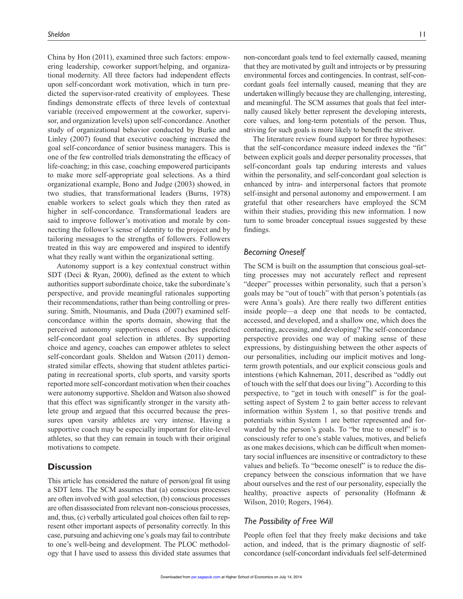China by Hon (2011), examined three such factors: empowering leadership, coworker support/helping, and organizational modernity. All three factors had independent effects upon self-concordant work motivation, which in turn predicted the supervisor-rated creativity of employees. These findings demonstrate effects of three levels of contextual variable (received empowerment at the coworker, supervisor, and organization levels) upon self-concordance. Another study of organizational behavior conducted by Burke and Linley (2007) found that executive coaching increased the goal self-concordance of senior business managers. This is one of the few controlled trials demonstrating the efficacy of life-coaching; in this case, coaching empowered participants to make more self-appropriate goal selections. As a third organizational example, Bono and Judge (2003) showed, in two studies, that transformational leaders (Burns, 1978) enable workers to select goals which they then rated as higher in self-concordance. Transformational leaders are said to improve follower's motivation and morale by connecting the follower's sense of identity to the project and by tailoring messages to the strengths of followers. Followers treated in this way are empowered and inspired to identify what they really want within the organizational setting.

Autonomy support is a key contextual construct within SDT (Deci & Ryan, 2000), defined as the extent to which authorities support subordinate choice, take the subordinate's perspective, and provide meaningful rationales supporting their recommendations, rather than being controlling or pressuring. Smith, Ntoumanis, and Duda (2007) examined selfconcordance within the sports domain, showing that the perceived autonomy supportiveness of coaches predicted self-concordant goal selection in athletes. By supporting choice and agency, coaches can empower athletes to select self-concordant goals. Sheldon and Watson (2011) demonstrated similar effects, showing that student athletes participating in recreational sports, club sports, and varsity sports reported more self-concordant motivation when their coaches were autonomy supportive. Sheldon and Watson also showed that this effect was significantly stronger in the varsity athlete group and argued that this occurred because the pressures upon varsity athletes are very intense. Having a supportive coach may be especially important for elite-level athletes, so that they can remain in touch with their original motivations to compete.

#### **Discussion**

This article has considered the nature of person/goal fit using a SDT lens. The SCM assumes that (a) conscious processes are often involved with goal selection, (b) conscious processes are often disassociated from relevant non-conscious processes, and, thus, (c) verbally articulated goal choices often fail to represent other important aspects of personality correctly. In this case, pursuing and achieving one's goals may fail to contribute to one's well-being and development. The PLOC methodology that I have used to assess this divided state assumes that non-concordant goals tend to feel externally caused, meaning that they are motivated by guilt and introjects or by pressuring environmental forces and contingencies. In contrast, self-concordant goals feel internally caused, meaning that they are undertaken willingly because they are challenging, interesting, and meaningful. The SCM assumes that goals that feel internally caused likely better represent the developing interests, core values, and long-term potentials of the person. Thus, striving for such goals is more likely to benefit the striver.

The literature review found support for three hypotheses: that the self-concordance measure indeed indexes the "fit" between explicit goals and deeper personality processes, that self-concordant goals tap enduring interests and values within the personality, and self-concordant goal selection is enhanced by intra- and interpersonal factors that promote self-insight and personal autonomy and empowerment. I am grateful that other researchers have employed the SCM within their studies, providing this new information. I now turn to some broader conceptual issues suggested by these findings.

#### *Becoming Oneself*

The SCM is built on the assumption that conscious goal-setting processes may not accurately reflect and represent "deeper" processes within personality, such that a person's goals may be "out of touch" with that person's potentials (as were Anna's goals). Are there really two different entities inside people—a deep one that needs to be contacted, accessed, and developed, and a shallow one, which does the contacting, accessing, and developing? The self-concordance perspective provides one way of making sense of these expressions, by distinguishing between the other aspects of our personalities, including our implicit motives and longterm growth potentials, and our explicit conscious goals and intentions (which Kahneman, 2011, described as "oddly out of touch with the self that does our living"). According to this perspective, to "get in touch with oneself" is for the goalsetting aspect of System 2 to gain better access to relevant information within System 1, so that positive trends and potentials within System 1 are better represented and forwarded by the person's goals. To "be true to oneself" is to consciously refer to one's stable values, motives, and beliefs as one makes decisions, which can be difficult when momentary social influences are insensitive or contradictory to these values and beliefs. To "become oneself" is to reduce the discrepancy between the conscious information that we have about ourselves and the rest of our personality, especially the healthy, proactive aspects of personality (Hofmann & Wilson, 2010; Rogers, 1964).

## *The Possibility of Free Will*

People often feel that they freely make decisions and take action, and indeed, that is the primary diagnostic of selfconcordance (self-concordant individuals feel self-determined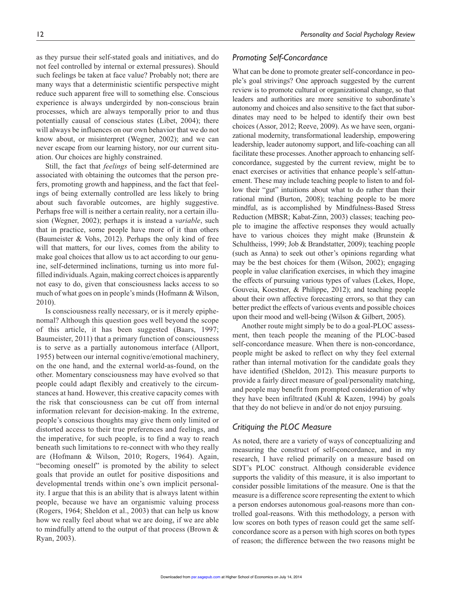as they pursue their self-stated goals and initiatives, and do not feel controlled by internal or external pressures). Should such feelings be taken at face value? Probably not; there are many ways that a deterministic scientific perspective might reduce such apparent free will to something else. Conscious experience is always undergirded by non-conscious brain processes, which are always temporally prior to and thus potentially causal of conscious states (Libet, 2004); there will always be influences on our own behavior that we do not know about, or misinterpret (Wegner, 2002); and we can never escape from our learning history, nor our current situation. Our choices are highly constrained.

Still, the fact that *feelings* of being self-determined are associated with obtaining the outcomes that the person prefers, promoting growth and happiness, and the fact that feelings of being externally controlled are less likely to bring about such favorable outcomes, are highly suggestive. Perhaps free will is neither a certain reality, nor a certain illusion (Wegner, 2002); perhaps it is instead a *variable*, such that in practice, some people have more of it than others (Baumeister & Vohs, 2012). Perhaps the only kind of free will that matters, for our lives, comes from the ability to make goal choices that allow us to act according to our genuine, self-determined inclinations, turning us into more fulfilled individuals. Again, making correct choices is apparently not easy to do, given that consciousness lacks access to so much of what goes on in people's minds (Hofmann & Wilson, 2010).

Is consciousness really necessary, or is it merely epiphenomal? Although this question goes well beyond the scope of this article, it has been suggested (Baars, 1997; Baumeister, 2011) that a primary function of consciousness is to serve as a partially autonomous interface (Allport, 1955) between our internal cognitive/emotional machinery, on the one hand, and the external world-as-found, on the other. Momentary consciousness may have evolved so that people could adapt flexibly and creatively to the circumstances at hand. However, this creative capacity comes with the risk that consciousness can be cut off from internal information relevant for decision-making. In the extreme, people's conscious thoughts may give them only limited or distorted access to their true preferences and feelings, and the imperative, for such people, is to find a way to reach beneath such limitations to re-connect with who they really are (Hofmann & Wilson, 2010; Rogers, 1964). Again, "becoming oneself" is promoted by the ability to select goals that provide an outlet for positive dispositions and developmental trends within one's own implicit personality. I argue that this is an ability that is always latent within people, because we have an organismic valuing process (Rogers, 1964; Sheldon et al., 2003) that can help us know how we really feel about what we are doing, if we are able to mindfully attend to the output of that process (Brown & Ryan, 2003).

## *Promoting Self-Concordance*

What can be done to promote greater self-concordance in people's goal strivings? One approach suggested by the current review is to promote cultural or organizational change, so that leaders and authorities are more sensitive to subordinate's autonomy and choices and also sensitive to the fact that subordinates may need to be helped to identify their own best choices (Assor, 2012; Reeve, 2009). As we have seen, organizational modernity, transformational leadership, empowering leadership, leader autonomy support, and life-coaching can all facilitate these processes. Another approach to enhancing selfconcordance, suggested by the current review, might be to enact exercises or activities that enhance people's self-attunement. These may include teaching people to listen to and follow their "gut" intuitions about what to do rather than their rational mind (Burton, 2008); teaching people to be more mindful, as is accomplished by Mindfulness-Based Stress Reduction (MBSR; Kabat-Zinn, 2003) classes; teaching people to imagine the affective responses they would actually have to various choices they might make (Brunstein & Schultheiss, 1999; Job & Brandstatter, 2009); teaching people (such as Anna) to seek out other's opinions regarding what may be the best choices for them (Wilson, 2002); engaging people in value clarification exercises, in which they imagine the effects of pursuing various types of values (Lekes, Hope, Gouveia, Koestner, & Philippe, 2012); and teaching people about their own affective forecasting errors, so that they can better predict the effects of various events and possible choices upon their mood and well-being (Wilson & Gilbert, 2005).

Another route might simply be to do a goal-PLOC assessment, then teach people the meaning of the PLOC-based self-concordance measure. When there is non-concordance, people might be asked to reflect on why they feel external rather than internal motivation for the candidate goals they have identified (Sheldon, 2012). This measure purports to provide a fairly direct measure of goal/personality matching, and people may benefit from prompted consideration of why they have been infiltrated (Kuhl & Kazen, 1994) by goals that they do not believe in and/or do not enjoy pursuing.

#### *Critiquing the PLOC Measure*

As noted, there are a variety of ways of conceptualizing and measuring the construct of self-concordance, and in my research, I have relied primarily on a measure based on SDT's PLOC construct. Although considerable evidence supports the validity of this measure, it is also important to consider possible limitations of the measure. One is that the measure is a difference score representing the extent to which a person endorses autonomous goal-reasons more than controlled goal-reasons. With this methodology, a person with low scores on both types of reason could get the same selfconcordance score as a person with high scores on both types of reason; the difference between the two reasons might be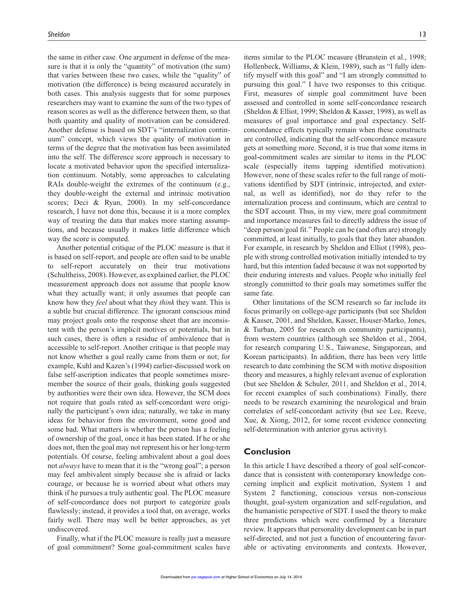the same in either case. One argument in defense of the measure is that it is only the "quantity" of motivation (the sum) that varies between these two cases, while the "quality" of motivation (the difference) is being measured accurately in both cases. This analysis suggests that for some purposes researchers may want to examine the sum of the two types of reason scores as well as the difference between them, so that both quantity and quality of motivation can be considered. Another defense is based on SDT's "internalization continuum" concept, which views the quality of motivation in terms of the degree that the motivation has been assimilated into the self. The difference score approach is necessary to locate a motivated behavior upon the specified internalization continuum. Notably, some approaches to calculating RAIs double-weight the extremes of the continuum (e.g., they double-weight the external and intrinsic motivation scores; Deci & Ryan, 2000). In my self-concordance research, I have not done this, because it is a more complex way of treating the data that makes more starting assumptions, and because usually it makes little difference which way the score is computed.

Another potential critique of the PLOC measure is that it is based on self-report, and people are often said to be unable to self-report accurately on their true motivations (Schultheiss, 2008). However, as explained earlier, the PLOC measurement approach does not assume that people know what they actually want; it only assumes that people can know how they *feel* about what they *think* they want. This is a subtle but crucial difference. The ignorant conscious mind may project goals onto the response sheet that are inconsistent with the person's implicit motives or potentials, but in such cases, there is often a residue of ambivalence that is accessible to self-report. Another critique is that people may not know whether a goal really came from them or not; for example, Kuhl and Kazen's (1994) earlier-discussed work on false self-ascription indicates that people sometimes misremember the source of their goals, thinking goals suggested by authorities were their own idea. However, the SCM does not require that goals rated as self-concordant were originally the participant's own idea; naturally, we take in many ideas for behavior from the environment, some good and some bad. What matters is whether the person has a feeling of ownership of the goal, once it has been stated. If he or she does not, then the goal may not represent his or her long-term potentials. Of course, feeling ambivalent about a goal does not *always* have to mean that it is the "wrong goal"; a person may feel ambivalent simply because she is afraid or lacks courage, or because he is worried about what others may think if he pursues a truly authentic goal. The PLOC measure of self-concordance does not purport to categorize goals flawlessly; instead, it provides a tool that, on average, works fairly well. There may well be better approaches, as yet undiscovered.

Finally, what if the PLOC measure is really just a measure of goal commitment? Some goal-commitment scales have

items similar to the PLOC measure (Brunstein et al., 1998; Hollenbeck, Williams, & Klein, 1989), such as "I fully identify myself with this goal" and "I am strongly committed to pursuing this goal." I have two responses to this critique. First, measures of simple goal commitment have been assessed and controlled in some self-concordance research (Sheldon & Elliot, 1999; Sheldon & Kasser, 1998), as well as measures of goal importance and goal expectancy. Selfconcordance effects typically remain when these constructs are controlled, indicating that the self-concordance measure gets at something more. Second, it is true that some items in goal-commitment scales are similar to items in the PLOC scale (especially items tapping identified motivation). However, none of these scales refer to the full range of motivations identified by SDT (intrinsic, introjected, and external, as well as identified), nor do they refer to the internalization process and continuum, which are central to the SDT account. Thus, in my view, mere goal commitment and importance measures fail to directly address the issue of "deep person/goal fit." People can be (and often are) strongly committed, at least initially, to goals that they later abandon. For example, in research by Sheldon and Elliot (1998), people with strong controlled motivation initially intended to try hard, but this intention faded because it was not supported by their enduring interests and values. People who initially feel strongly committed to their goals may sometimes suffer the same fate.

Other limitations of the SCM research so far include its focus primarily on college-age participants (but see Sheldon & Kasser, 2001, and Sheldon, Kasser, Houser-Marko, Jones, & Turban, 2005 for research on community participants), from western countries (although see Sheldon et al., 2004, for research comparing U.S., Taiwanese, Singaporean, and Korean participants). In addition, there has been very little research to date combining the SCM with motive disposition theory and measures, a highly relevant avenue of exploration (but see Sheldon & Schuler, 2011, and Sheldon et al., 2014, for recent examples of such combinations). Finally, there needs to be research examining the neurological and brain correlates of self-concordant activity (but see Lee, Reeve, Xue, & Xiong, 2012, for some recent evidence connecting self-determination with anterior gyrus activity).

#### **Conclusion**

In this article I have described a theory of goal self-concordance that is consistent with contemporary knowledge concerning implicit and explicit motivation, System 1 and System 2 functioning, conscious versus non-conscious thought, goal-system organization and self-regulation, and the humanistic perspective of SDT. I used the theory to make three predictions which were confirmed by a literature review. It appears that personality development can be in part self-directed, and not just a function of encountering favorable or activating environments and contexts. However,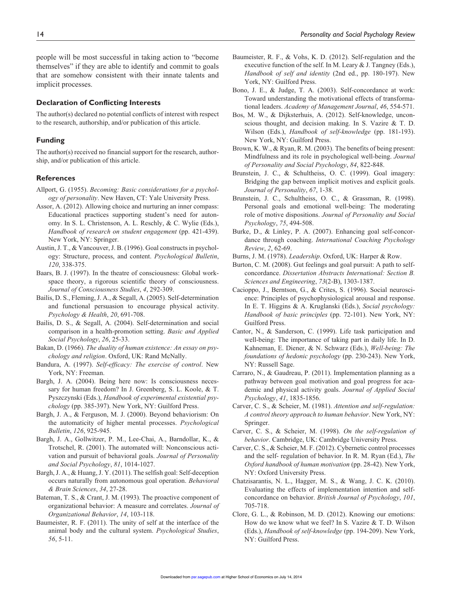people will be most successful in taking action to "become themselves" if they are able to identify and commit to goals that are somehow consistent with their innate talents and implicit processes.

#### **Declaration of Conflicting Interests**

The author(s) declared no potential conflicts of interest with respect to the research, authorship, and/or publication of this article.

#### **Funding**

The author(s) received no financial support for the research, authorship, and/or publication of this article.

#### **References**

- Allport, G. (1955). *Becoming: Basic considerations for a psychology of personality*. New Haven, CT: Yale University Press.
- Assor, A. (2012). Allowing choice and nurturing an inner compass: Educational practices supporting student's need for autonomy. In S. L. Christenson, A. L. Reschly, & C. Wylie (Eds.), *Handbook of research on student engagement* (pp. 421-439). New York, NY: Springer.
- Austin, J. T., & Vancouver, J. B. (1996). Goal constructs in psychology: Structure, process, and content. *Psychological Bulletin*, *120*, 338-375.
- Baars, B. J. (1997). In the theatre of consciousness: Global workspace theory, a rigorous scientific theory of consciousness. *Journal of Consciousness Studies*, *4*, 292-309.
- Bailis, D. S., Fleming, J. A., & Segall, A. (2005). Self-determination and functional persuasion to encourage physical activity. *Psychology & Health*, *20*, 691-708.
- Bailis, D. S., & Segall, A. (2004). Self-determination and social comparison in a health-promotion setting. *Basic and Applied Social Psychology*, *26*, 25-33.
- Bakan, D. (1966). *The duality of human existence: An essay on psychology and religion*. Oxford, UK: Rand McNally.
- Bandura, A. (1997). *Self-efficacy: The exercise of control*. New York, NY: Freeman.
- Bargh, J. A. (2004). Being here now: Is consciousness necessary for human freedom? In J. Greenberg, S. L. Koole, & T. Pyszczynski (Eds.), *Handbook of experimental existential psychology* (pp. 385-397). New York, NY: Guilford Press.
- Bargh, J. A., & Ferguson, M. J. (2000). Beyond behaviorism: On the automaticity of higher mental processes. *Psychological Bulletin*, *126*, 925-945.
- Bargh, J. A., Gollwitzer, P. M., Lee-Chai, A., Barndollar, K., & Trotschel, R. (2001). The automated will: Nonconscious activation and pursuit of behavioral goals. *Journal of Personality and Social Psychology*, *81*, 1014-1027.
- Bargh, J. A., & Huang, J. Y. (2011). The selfish goal: Self-deception occurs naturally from autonomous goal operation. *Behavioral & Brain Sciences*, *34*, 27-28.
- Bateman, T. S., & Crant, J. M. (1993). The proactive component of organizational behavior: A measure and correlates. *Journal of Organizational Behavior*, *14*, 103-118.
- Baumeister, R. F. (2011). The unity of self at the interface of the animal body and the cultural system. *Psychological Studies*, *56*, 5-11.
- Baumeister, R. F., & Vohs, K. D. (2012). Self-regulation and the executive function of the self. In M. Leary & J. Tangney (Eds.), *Handbook of self and identity* (2nd ed., pp. 180-197). New York, NY: Guilford Press.
- Bono, J. E., & Judge, T. A. (2003). Self-concordance at work: Toward understanding the motivational effects of transformational leaders. *Academy of Management Journal*, *46*, 554-571.
- Bos, M. W., & Dijksterhuis, A. (2012). Self-knowledge, unconscious thought, and decision making. In S. Vazire & T. D. Wilson (Eds.), *Handbook of self-knowledge* (pp. 181-193). New York, NY: Guilford Press.
- Brown, K. W., & Ryan, R. M. (2003). The benefits of being present: Mindfulness and its role in psychological well-being. *Journal of Personality and Social Psychology*, *84*, 822-848.
- Brunstein, J. C., & Schultheiss, O. C. (1999). Goal imagery: Bridging the gap between implicit motives and explicit goals. *Journal of Personality*, *67*, 1-38.
- Brunstein, J. C., Schultheiss, O. C., & Grassman, R. (1998). Personal goals and emotional well-being: The moderating role of motive dispositions. *Journal of Personality and Social Psychology*, *75*, 494-508.
- Burke, D., & Linley, P. A. (2007). Enhancing goal self-concordance through coaching. *International Coaching Psychology Review*, *2*, 62-69.
- Burns, J. M. (1978). *Leadership*. Oxford, UK: Harper & Row.
- Burton, C. M. (2008). Gut feelings and goal pursuit: A path to selfconcordance. *Dissertation Abstracts International: Section B. Sciences and Engineering*, *73*(2-B), 1303-1387.
- Cacioppo, J., Berntson, G., & Crites, S. (1996). Social neuroscience: Principles of psychophysiological arousal and response. In E. T. Higgins & A. Kruglanski (Eds.), *Social psychology: Handbook of basic principles* (pp. 72-101). New York, NY: Guilford Press.
- Cantor, N., & Sanderson, C. (1999). Life task participation and well-being: The importance of taking part in daily life. In D. Kahneman, E. Diener, & N. Schwarz (Eds.), *Well-being: The foundations of hedonic psychology* (pp. 230-243). New York, NY: Russell Sage.
- Carraro, N., & Gaudreau, P. (2011). Implementation planning as a pathway between goal motivation and goal progress for academic and physical activity goals. *Journal of Applied Social Psychology*, *41*, 1835-1856.
- Carver, C. S., & Scheier, M. (1981). *Attention and self-regulation: A control theory approach to human behavior*. New York, NY: Springer.
- Carver, C. S., & Scheier, M. (1998). *On the self-regulation of behavior*. Cambridge, UK: Cambridge University Press.
- Carver, C. S., & Scheier, M. F. (2012). Cybernetic control processes and the self- regulation of behavior. In R. M. Ryan (Ed.), *The Oxford handbook of human motivation* (pp. 28-42). New York, NY: Oxford University Press.
- Chatzisarantis, N. L., Hagger, M. S., & Wang, J. C. K. (2010). Evaluating the effects of implementation intention and selfconcordance on behavior. *British Journal of Psychology*, *101*, 705-718.
- Clore, G. L., & Robinson, M. D. (2012). Knowing our emotions: How do we know what we feel? In S. Vazire & T. D. Wilson (Eds.), *Handbook of self-knowledge* (pp. 194-209). New York, NY: Guilford Press.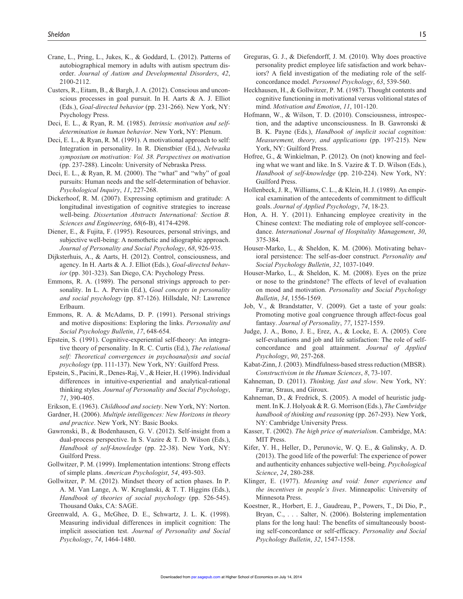- Crane, L., Pring, L., Jukes, K., & Goddard, L. (2012). Patterns of autobiographical memory in adults with autism spectrum disorder. *Journal of Autism and Developmental Disorders*, *42*, 2100-2112.
- Custers, R., Eitam, B., & Bargh, J. A. (2012). Conscious and unconscious processes in goal pursuit. In H. Aarts & A. J. Elliot (Eds.), *Goal-directed behavior* (pp. 231-266). New York, NY: Psychology Press.
- Deci, E. L., & Ryan, R. M. (1985). *Intrinsic motivation and selfdetermination in human behavior*. New York, NY: Plenum.
- Deci, E. L., & Ryan, R. M. (1991). A motivational approach to self: Integration in personality. In R. Dienstbier (Ed.), *Nebraska symposium on motivation: Vol. 38. Perspectives on motivation* (pp. 237-288). Lincoln: University of Nebraska Press.
- Deci, E. L., & Ryan, R. M. (2000). The "what" and "why" of goal pursuits: Human needs and the self-determination of behavior. *Psychological Inquiry*, *11*, 227-268.
- Dickerhoof, R. M. (2007). Expressing optimism and gratitude: A longitudinal investigation of cognitive strategies to increase well-being. *Dissertation Abstracts International: Section B. Sciences and Engineering*, *68*(6-B), 4174-4298.
- Diener, E., & Fujita, F. (1995). Resources, personal strivings, and subjective well-being: A nomothetic and idiographic approach. *Journal of Personality and Social Psychology*, *68*, 926-935.
- Dijksterhuis, A., & Aarts, H. (2012). Control, consciousness, and agency. In H. Aarts & A. J. Elliot (Eds.), *Goal-directed behavior* (pp. 301-323). San Diego, CA: Psychology Press.
- Emmons, R. A. (1989). The personal strivings approach to personality. In L. A. Pervin (Ed.), *Goal concepts in personality and social psychology* (pp. 87-126). Hillsdale, NJ: Lawrence Erlbaum.
- Emmons, R. A. & McAdams, D. P. (1991). Personal strivings and motive dispositions: Exploring the links. *Personality and Social Psychology Bulletin*, *17*, 648-654.
- Epstein, S. (1991). Cognitive-experiential self-theory: An integrative theory of personality. In R. C. Curtis (Ed.), *The relational self: Theoretical convergences in psychoanalysis and social psychology* (pp. 111-137). New York, NY: Guilford Press.
- Epstein, S., Pacini, R., Denes-Raj, V., & Heier, H. (1996). Individual differences in intuitive-experiential and analytical-rational thinking styles. *Journal of Personality and Social Psychology*, *71*, 390-405.
- Erikson, E. (1963). *Childhood and society*. New York, NY: Norton.
- Gardner, H. (2006). *Multiple intelligences: New Horizons in theory and practice*. New York, NY: Basic Books.
- Gawronski, B., & Bodenhausen, G. V. (2012). Self-insight from a dual-process perspective. In S. Vazire & T. D. Wilson (Eds.), *Handbook of self-knowledge* (pp. 22-38). New York, NY: Guilford Press.
- Gollwitzer, P. M. (1999). Implementation intentions: Strong effects of simple plans. *American Psychologist*, *54*, 493-503.
- Gollwitzer, P. M. (2012). Mindset theory of action phases. In P. A. M. Van Lange, A. W. Kruglanski, & T. T. Higgins (Eds.), *Handbook of theories of social psychology* (pp. 526-545). Thousand Oaks, CA: SAGE.
- Greenwald, A. G., McGhee, D. E., Schwartz, J. L. K. (1998). Measuring individual differences in implicit cognition: The implicit association test. *Journal of Personality and Social Psychology*, *74*, 1464-1480.
- Greguras, G. J., & Diefendorff, J. M. (2010). Why does proactive personality predict employee life satisfaction and work behaviors? A field investigation of the mediating role of the selfconcordance model. *Personnel Psychology*, *63*, 539-560.
- Heckhausen, H., & Gollwitzer, P. M. (1987). Thought contents and cognitive functioning in motivational versus volitional states of mind. *Motivation and Emotion*, *11*, 101-120.
- Hofmann, W., & Wilson, T. D. (2010). Consciousness, introspection, and the adaptive unconsciousness. In B. Gawronski & B. K. Payne (Eds.), *Handbook of implicit social cognition: Measurement, theory, and applications* (pp. 197-215). New York, NY: Guilford Press.
- Hofree, G., & Winkielman, P. (2012). On (not) knowing and feeling what we want and like. In S. Vazire & T. D. Wilson (Eds.), *Handbook of self-knowledge* (pp. 210-224). New York, NY: Guilford Press.
- Hollenbeck, J. R., Williams, C. L., & Klein, H. J. (1989). An empirical examination of the antecedents of commitment to difficult goals. *Journal of Applied Psychology*, *74*, 18-23.
- Hon, A. H. Y. (2011). Enhancing employee creativity in the Chinese context: The mediating role of employee self-concordance. *International Journal of Hospitality Management*, *30*, 375-384.
- Houser-Marko, L., & Sheldon, K. M. (2006). Motivating behavioral persistence: The self-as-doer construct. *Personality and Social Psychology Bulletin*, *32*, 1037-1049.
- Houser-Marko, L., & Sheldon, K. M. (2008). Eyes on the prize or nose to the grindstone? The effects of level of evaluation on mood and motivation. *Personality and Social Psychology Bulletin*, *34*, 1556-1569.
- Job, V., & Brandstatter, V. (2009). Get a taste of your goals: Promoting motive goal congruence through affect-focus goal fantasy. *Journal of Personality*, *77*, 1527-1559.
- Judge, J. A., Bono, J. E., Erez, A., & Locke, E. A. (2005). Core self-evaluations and job and life satisfaction: The role of selfconcordance and goal attainment. *Journal of Applied Psychology*, *90*, 257-268.
- Kabat-Zinn, J. (2003). Mindfulness-based stress reduction (MBSR). *Constructivism in the Human Sciences*, *8*, 73-107.
- Kahneman, D. (2011). *Thinking, fast and slow*. New York, NY: Farrar, Straus, and Giroux.
- Kahneman, D., & Fredrick, S. (2005). A model of heuristic judgment. In K. J. Holyoak & R. G. Morrison (Eds.), *The Cambridge handbook of thinking and reasoning* (pp. 267-293). New York, NY: Cambridge University Press.
- Kasser, T. (2002). *The high price of materialism*. Cambridge, MA: MIT Press.
- Kifer, Y. H., Heller, D., Perunovic, W. Q. E., & Galinsky, A. D. (2013). The good life of the powerful: The experience of power and authenticity enhances subjective well-being. *Psychological Science*, *24*, 280-288.
- Klinger, E. (1977). *Meaning and void: Inner experience and the incentives in people's lives*. Minneapolis: University of Minnesota Press.
- Koestner, R., Horbert, E. J., Gaudreau, P., Powers, T., Di Dio, P., Bryan, C., . . . Salter, N. (2006). Bolstering implementation plans for the long haul: The benefits of simultaneously boosting self-concordance or self-efficacy. *Personality and Social Psychology Bulletin*, *32*, 1547-1558.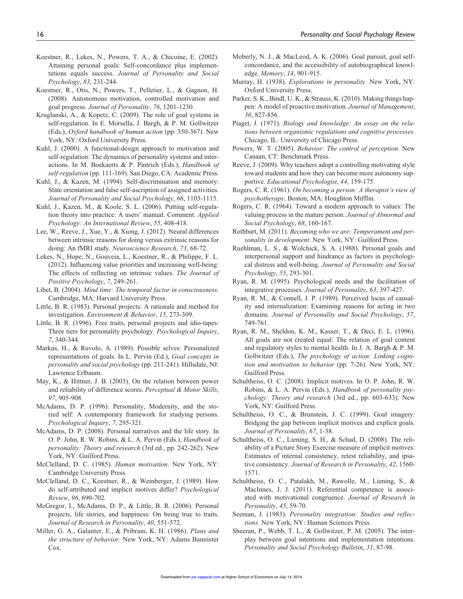- Koestner, R., Lekes, N., Powers, T. A., & Chicoine, E. (2002). Attaining personal goals: Self-concordance plus implementations equals success. *Journal of Personality and Social Psychology*, *83*, 231-244.
- Koestner, R., Otis, N., Powers, T., Pelletier, L., & Gagnon, H. (2008). Autonomous motivation, controlled motivation and goal progress. *Journal of Personality*, *76*, 1201-1230.
- Kruglanski, A., & Kopetz, C. (2009). The role of goal systems in self-regulation. In E. Morsella, J. Bargh, & P. M. Gollwitzer (Eds.), *Oxford handbook of human action* (pp. 350-367). New York, NY: Oxford University Press.
- Kuhl, J. (2000). A functional-design approach to motivation and self-regulation: The dynamics of personality systems and interactions. In M. Boekaerts & P. Pintrich (Eds.), *Handbook of self-regulation* (pp. 111-169). San Diego, CA: Academic Press.
- Kuhl, J., & Kazen, M. (1994). Self-discrimination and memory: State orientation and false self-ascription of assigned activities. *Journal of Personality and Social Psychology*, *66*, 1103-1115.
- Kuhl, J., Kazen, M., & Koole, S. L. (2006). Putting self-regulation theory into practice: A users' manual: Comment. *Applied Psychology: An International Review*, *55*, 408-418.
- Lee, W., Reeve, J., Xue, Y., & Xiong, J. (2012). Neural differences between intrinsic reasons for doing versus extrinsic reasons for doing: An fMRI study. *Neuroscience Research*, *73*, 68-72.
- Lekes, N., Hope, N., Gouveia, L., Koestner, R., & Philippe, F. L. (2012). Influencing value priorities and increasing well-being: The effects of reflecting on intrinsic values. *The Journal of Positive Psychology*, *7*, 249-261.
- Libet, B. (2004). *Mind time: The temporal factor in consciousness*. Cambridge, MA: Harvard University Press.
- Little, B. R. (1983). Personal projects: A rationale and method for investigation. *Environment & Behavior*, *15*, 273-309.
- Little, B. R. (1996). Free traits, personal projects and idio-tapes: Three tiers for personality psychology. *Psychological Inquiry*, *7*, 340-344.
- Markus, H., & Ruvolo, A. (1989). Possible selves: Personalized representations of goals. In L. Pervin (Ed.), *Goal concepts in personality and social psychology* (pp. 211-241). Hillsdale, NJ: Lawrence Erlbaum.
- May, K., & Hittner, J. B. (2003). On the relation between power and reliability of difference scores. *Perceptual & Motor Skills*, *97*, 905-908.
- McAdams, D. P. (1996). Personality, Modernity, and the storied self: A contemporary framework for studying persons. *Psychological Inquiry*, *7*, 295-321.
- McAdams, D. P. (2008). Personal narratives and the life story. In O. P. John, R. W. Robins, & L. A. Pervin (Eds.), *Handbook of personality: Theory and research* (3rd ed., pp. 242-262). New York, NY: Guilford Press.
- McClelland, D. C. (1985). *Human motivation*. New York, NY: Cambridge University Press.
- McClelland, D. C., Koestner, R., & Weinberger, J. (1989). How do self-attributed and implicit motives differ? *Psychological Review*, *96*, 690-702.
- McGregor, I., McAdams, D. P., & Little, B. R. (2006). Personal projects, life stories, and happiness: On being true to traits. *Journal of Research in Personality*, *40*, 551-572.
- Miller, G. A., Galanter, E., & Pribram, K. H. (1986). *Plans and the structure of behavior*. New York, NY: Adams Bannister Cox.
- Moberly, N. J., & MacLeod, A. K. (2006). Goal pursuit, goal selfconcordance, and the accessibility of autobiographical knowledge. *Memory*, *14*, 901-915.
- Murray, H. (1938). *Explorations in personality*. New York, NY: Oxford University Press.
- Parker, S. K., Bindl, U. K., & Strauss, K. (2010). Making things happen: A model of proactive motivation. *Journal of Management*, *36*, 827-856.
- Piaget, J. (1971). *Biology and knowledge: An essay on the relations between organismic regulations and cognitive processes*. Chicago, IL: University of Chicago Press.
- Powers, W. T. (2005). *Behavior: The control of perception*. New Canaan, CT: Benchmark Press.
- Reeve, J. (2009). Why teachers adopt a controlling motivating style toward students and how they can become more autonomy supportive. *Educational Psychologist*, *44*, 159-175.
- Rogers, C. R. (1961). *On becoming a person: A therapist's view of psychotherapy*. Boston, MA: Houghton Mifflin.
- Rogers, C. R. (1964). Toward a modern approach to values: The valuing process in the mature person. *Journal of Abnormal and Social Psychology*, *68*, 160-167.
- Rothbart, M. (2011). *Becoming who we are: Temperament and personality in development*. New York, NY: Guilford Press.
- Ruehlman, L. S., & Wolchick, S. A. (1988). Personal goals and interpersonal support and hindrance as factors in psychological distress and well-being. *Journal of Personality and Social Psychology*, *55*, 293-301.
- Ryan, R. M. (1995). Psychological needs and the facilitation of integrative processes. *Journal of Personality*, *63*, 397-427.
- Ryan, R. M., & Connell, J. P. (1989). Perceived locus of causality and internalization: Examining reasons for acting in two domains. *Journal of Personality and Social Psychology*, *57*, 749-761.
- Ryan, R. M., Sheldon, K. M., Kasser, T., & Deci, E. L. (1996). All goals are not created equal: The relation of goal content and regulatory styles to mental health. In J. A. Bargh & P. M. Gollwitzer (Eds.), *The psychology of action: Linking cognition and motivation to behavior* (pp. 7-26). New York, NY: Guilford Press.
- Schultheiss, O. C. (2008). Implicit motives. In O. P. John, R. W. Robins, & L. A. Pervin (Eds.), *Handbook of personality psychology: Theory and research* (3rd ed., pp. 603-633). New York, NY: Guilford Press.
- Schultheiss, O. C., & Brunstein, J. C. (1999). Goal imagery: Bridging the gap between implicit motives and explicit goals. *Journal of Personality*, *67*, 1-38.
- Schultheiss, O. C., Liening, S. H., & Schad, D. (2008). The reliability of a Picture Story Exercise measure of implicit motives: Estimates of internal consistency, retest reliability, and ipsative consistency. *Journal of Research in Personality*, *42*, 1560- 1571.
- Schultheiss, O. C., Patalakh, M., Rawolle, M., Liening, S., & MacInnes, J. J. (2011). Referential competence is associated with motivational congruence. *Journal of Research in Personality*, *45*, 59-70.
- Seeman, J. (1983). *Personality integration: Studies and reflections*. New York, NY: Human Sciences Press.
- Sheeran, P., Webb, T. L., & Gollwitzer, P. M. (2005). The interplay between goal intentions and implementation intentions. *Personality and Social Psychology Bulletin*, *31*, 87-98.